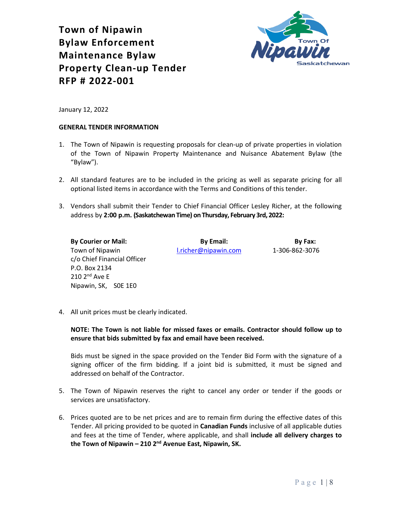



January 12, 2022

#### **GENERAL TENDER INFORMATION**

- 1. The Town of Nipawin is requesting proposals for clean-up of private properties in violation of the Town of Nipawin Property Maintenance and Nuisance Abatement Bylaw (the "Bylaw").
- 2. All standard features are to be included in the pricing as well as separate pricing for all optional listed items in accordance with the Terms and Conditions of this tender.
- 3. Vendors shall submit their Tender to Chief Financial Officer Lesley Richer, at the following address by **2:00 p.m. (Saskatchewan Time) on Thursday, February 3rd, 2022:**

**By Courier or Mail: By Email: By Fax:** Town of Nipawin [l.richer@nipawin.com](mailto:l.richer@nipawin.com) 1-306-862-3076 c/o Chief Financial Officer P.O. Box 2134  $210$   $2^{nd}$  Ave E Nipawin, SK, S0E 1E0

4. All unit prices must be clearly indicated.

**NOTE: The Town is not liable for missed faxes or emails. Contractor should follow up to ensure that bids submitted by fax and email have been received.**

Bids must be signed in the space provided on the Tender Bid Form with the signature of a signing officer of the firm bidding. If a joint bid is submitted, it must be signed and addressed on behalf of the Contractor.

- 5. The Town of Nipawin reserves the right to cancel any order or tender if the goods or services are unsatisfactory.
- 6. Prices quoted are to be net prices and are to remain firm during the effective dates of this Tender. All pricing provided to be quoted in **Canadian Funds** inclusive of all applicable duties and fees at the time of Tender, where applicable, and shall **include all delivery charges to the Town of Nipawin – 210 2nd Avenue East, Nipawin, SK.**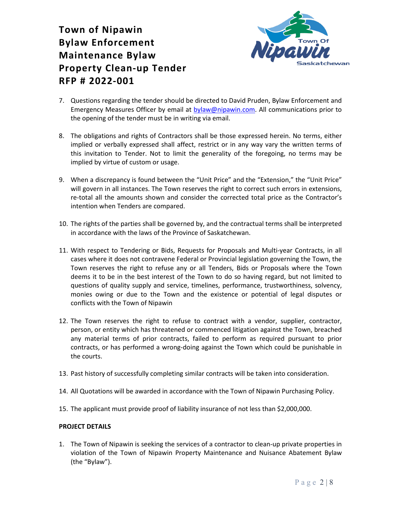

- 7. Questions regarding the tender should be directed to David Pruden, Bylaw Enforcement and Emergency Measures Officer by email at [bylaw@nipawin.com.](mailto:bylaw@nipawin.com) All communications prior to the opening of the tender must be in writing via email.
- 8. The obligations and rights of Contractors shall be those expressed herein. No terms, either implied or verbally expressed shall affect, restrict or in any way vary the written terms of this invitation to Tender. Not to limit the generality of the foregoing, no terms may be implied by virtue of custom or usage.
- 9. When a discrepancy is found between the "Unit Price" and the "Extension," the "Unit Price" will govern in all instances. The Town reserves the right to correct such errors in extensions, re-total all the amounts shown and consider the corrected total price as the Contractor's intention when Tenders are compared.
- 10. The rights of the parties shall be governed by, and the contractual terms shall be interpreted in accordance with the laws of the Province of Saskatchewan.
- 11. With respect to Tendering or Bids, Requests for Proposals and Multi-year Contracts, in all cases where it does not contravene Federal or Provincial legislation governing the Town, the Town reserves the right to refuse any or all Tenders, Bids or Proposals where the Town deems it to be in the best interest of the Town to do so having regard, but not limited to questions of quality supply and service, timelines, performance, trustworthiness, solvency, monies owing or due to the Town and the existence or potential of legal disputes or conflicts with the Town of Nipawin
- 12. The Town reserves the right to refuse to contract with a vendor, supplier, contractor, person, or entity which has threatened or commenced litigation against the Town, breached any material terms of prior contracts, failed to perform as required pursuant to prior contracts, or has performed a wrong-doing against the Town which could be punishable in the courts.
- 13. Past history of successfully completing similar contracts will be taken into consideration.
- 14. All Quotations will be awarded in accordance with the Town of Nipawin Purchasing Policy.
- 15. The applicant must provide proof of liability insurance of not less than \$2,000,000.

### **PROJECT DETAILS**

1. The Town of Nipawin is seeking the services of a contractor to clean-up private properties in violation of the Town of Nipawin Property Maintenance and Nuisance Abatement Bylaw (the "Bylaw").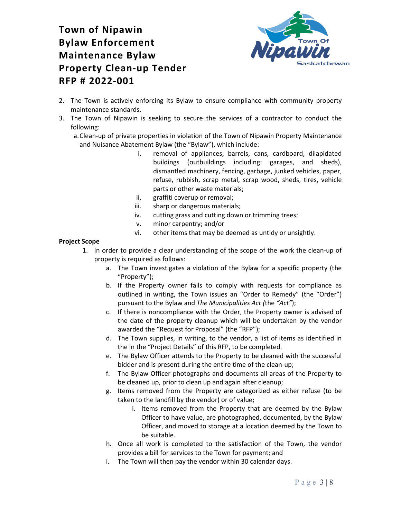

- 2. The Town is actively enforcing its Bylaw to ensure compliance with community property maintenance standards.
- 3. The Town of Nipawin is seeking to secure the services of a contractor to conduct the following:
	- a.Clean-up of private properties in violation of the Town of Nipawin Property Maintenance and Nuisance Abatement Bylaw (the "Bylaw"), which include:
		- i. removal of appliances, barrels, cans, cardboard, dilapidated buildings (outbuildings including: garages, and sheds), dismantled machinery, fencing, garbage, junked vehicles, paper, refuse, rubbish, scrap metal, scrap wood, sheds, tires, vehicle parts or other waste materials;
		- ii. graffiti coverup or removal;
		- iii. sharp or dangerous materials;
		- iv. cutting grass and cutting down or trimming trees;
		- v. minor carpentry; and/or
		- vi. other items that may be deemed as untidy or unsightly.

### **Project Scope**

- 1. In order to provide a clear understanding of the scope of the work the clean-up of property is required as follows:
	- a. The Town investigates a violation of the Bylaw for a specific property (the "Property");
	- b. If the Property owner fails to comply with requests for compliance as outlined in writing, the Town issues an "Order to Remedy" (the "Order") pursuant to the Bylaw and *The Municipalities Act (*the *"Act"*);
	- c. If there is noncompliance with the Order, the Property owner is advised of the date of the property cleanup which will be undertaken by the vendor awarded the "Request for Proposal" (the "RFP");
	- d. The Town supplies, in writing, to the vendor, a list of items as identified in the in the "Project Details" of this RFP, to be completed.
	- e. The Bylaw Officer attends to the Property to be cleaned with the successful bidder and is present during the entire time of the clean-up;
	- f. The Bylaw Officer photographs and documents all areas of the Property to be cleaned up, prior to clean up and again after cleanup;
	- g. Items removed from the Property are categorized as either refuse (to be taken to the landfill by the vendor) or of value;
		- i. Items removed from the Property that are deemed by the Bylaw Officer to have value, are photographed, documented, by the Bylaw Officer, and moved to storage at a location deemed by the Town to be suitable.
	- h. Once all work is completed to the satisfaction of the Town, the vendor provides a bill for services to the Town for payment; and
	- i. The Town will then pay the vendor within 30 calendar days.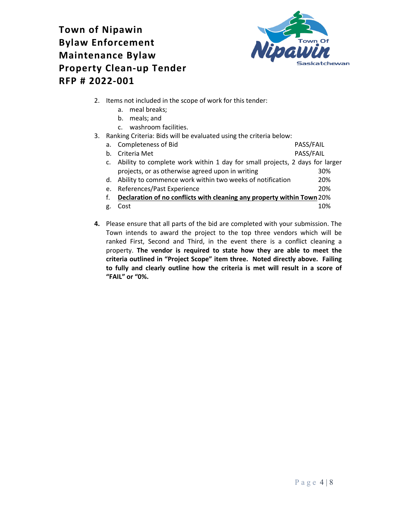

- 2. Items not included in the scope of work for this tender:
	- a. meal breaks;
	- b. meals; and
	- c. washroom facilities.
- 3. Ranking Criteria: Bids will be evaluated using the criteria below:

| namning Chitchia. Dias will be cvaluated asilig the chitchia below. |                                                                             |           |  |  |
|---------------------------------------------------------------------|-----------------------------------------------------------------------------|-----------|--|--|
| а.                                                                  | <b>Completeness of Bid</b>                                                  | PASS/FAIL |  |  |
| $h_{-}$                                                             | Criteria Met                                                                | PASS/FAIL |  |  |
| C.                                                                  | Ability to complete work within 1 day for small projects, 2 days for larger |           |  |  |
|                                                                     | projects, or as otherwise agreed upon in writing                            | 30%       |  |  |
|                                                                     | d. Ability to commence work within two weeks of notification                | 20%       |  |  |
| e.                                                                  | References/Past Experience                                                  | 20%       |  |  |
| f.                                                                  | Declaration of no conflicts with cleaning any property within Town 20%      |           |  |  |
| g.                                                                  | Cost                                                                        | 10%       |  |  |

**4.** Please ensure that all parts of the bid are completed with your submission. The Town intends to award the project to the top three vendors which will be ranked First, Second and Third, in the event there is a conflict cleaning a property. **The vendor is required to state how they are able to meet the criteria outlined in "Project Scope" item three. Noted directly above. Failing to fully and clearly outline how the criteria is met will result in a score of "FAIL" or "0%.**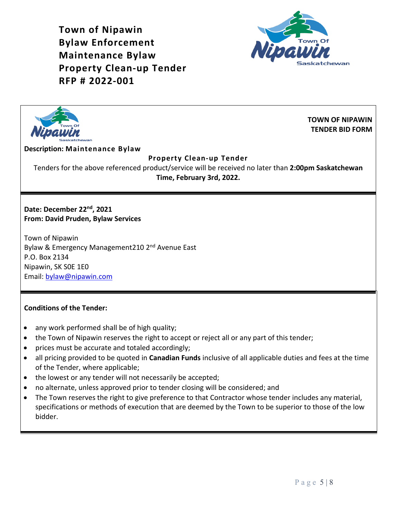



**TOWN OF NIPAWIN TENDER BID FORM**

### **Description: Maintenance Bylaw**

### **Property Clean-up Tender**

Tenders for the above referenced product/service will be received no later than **2:00pm Saskatchewan Time, February 3rd, 2022.**

**Date: December 22nd, 2021 From: David Pruden, Bylaw Services**

Town of Nipawin Bylaw & Emergency Management210 2<sup>nd</sup> Avenue East P.O. Box 2134 Nipawin, SK S0E 1E0 Email: [bylaw@nipawin.com](mailto:bylaw@nipawin.com)

### **Conditions of the Tender:**

- any work performed shall be of high quality;
- the Town of Nipawin reserves the right to accept or reject all or any part of this tender;
- prices must be accurate and totaled accordingly;
- all pricing provided to be quoted in **Canadian Funds** inclusive of all applicable duties and fees at the time of the Tender, where applicable;
- the lowest or any tender will not necessarily be accepted;
- no alternate, unless approved prior to tender closing will be considered; and
- The Town reserves the right to give preference to that Contractor whose tender includes any material, specifications or methods of execution that are deemed by the Town to be superior to those of the low bidder.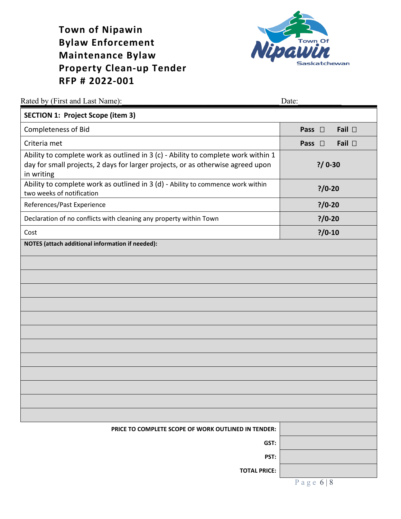

| Rated by (First and Last Name):                                                                                                                                                    | Date:                         |
|------------------------------------------------------------------------------------------------------------------------------------------------------------------------------------|-------------------------------|
| <b>SECTION 1: Project Scope (item 3)</b>                                                                                                                                           |                               |
| Completeness of Bid                                                                                                                                                                | Fail $\square$<br>Pass $\Box$ |
| Criteria met                                                                                                                                                                       | Fail $\Box$<br>Pass $\square$ |
| Ability to complete work as outlined in 3 (c) - Ability to complete work within 1<br>day for small projects, 2 days for larger projects, or as otherwise agreed upon<br>in writing | $? / 0 - 30$                  |
| Ability to complete work as outlined in 3 (d) - Ability to commence work within<br>two weeks of notification                                                                       | $? / 0 - 20$                  |
| References/Past Experience                                                                                                                                                         | $? / 0 - 20$                  |
| Declaration of no conflicts with cleaning any property within Town                                                                                                                 | $? / 0 - 20$                  |
| Cost                                                                                                                                                                               | $? / 0 - 10$                  |
| <b>NOTES</b> (attach additional information if needed):                                                                                                                            |                               |
|                                                                                                                                                                                    |                               |
|                                                                                                                                                                                    |                               |
|                                                                                                                                                                                    |                               |
|                                                                                                                                                                                    |                               |
|                                                                                                                                                                                    |                               |
|                                                                                                                                                                                    |                               |
|                                                                                                                                                                                    |                               |
|                                                                                                                                                                                    |                               |
|                                                                                                                                                                                    |                               |
|                                                                                                                                                                                    |                               |
|                                                                                                                                                                                    |                               |
|                                                                                                                                                                                    |                               |
|                                                                                                                                                                                    |                               |
| <b>PRICE TO COMPLETE SCOPE OF WORK OUTLINED IN TENDER:</b>                                                                                                                         |                               |
| GST:                                                                                                                                                                               |                               |
| PST:                                                                                                                                                                               |                               |
| <b>TOTAL PRICE:</b>                                                                                                                                                                |                               |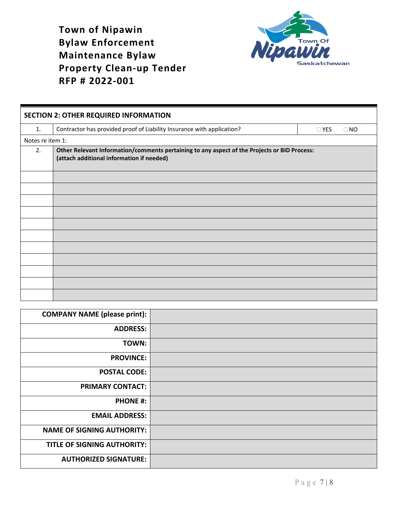

| <b>SECTION 2: OTHER REQUIRED INFORMATION</b> |                                                                                                                                           |                         |  |  |
|----------------------------------------------|-------------------------------------------------------------------------------------------------------------------------------------------|-------------------------|--|--|
| $\mathbf{1}$ .                               | Contractor has provided proof of Liability Insurance with application?                                                                    | $\Box$ YES<br>$\Box$ NO |  |  |
| Notes re item 1:                             |                                                                                                                                           |                         |  |  |
| 2.                                           | Other Relevant Information/comments pertaining to any aspect of the Projects or BID Process:<br>(attach additional information if needed) |                         |  |  |
|                                              |                                                                                                                                           |                         |  |  |
|                                              |                                                                                                                                           |                         |  |  |
|                                              |                                                                                                                                           |                         |  |  |
|                                              |                                                                                                                                           |                         |  |  |
|                                              |                                                                                                                                           |                         |  |  |
|                                              |                                                                                                                                           |                         |  |  |
|                                              |                                                                                                                                           |                         |  |  |
|                                              |                                                                                                                                           |                         |  |  |
|                                              |                                                                                                                                           |                         |  |  |
|                                              |                                                                                                                                           |                         |  |  |
|                                              |                                                                                                                                           |                         |  |  |

| <b>COMPANY NAME (please print):</b> |  |
|-------------------------------------|--|
| <b>ADDRESS:</b>                     |  |
| TOWN:                               |  |
| <b>PROVINCE:</b>                    |  |
| <b>POSTAL CODE:</b>                 |  |
| <b>PRIMARY CONTACT:</b>             |  |
| <b>PHONE #:</b>                     |  |
| <b>EMAIL ADDRESS:</b>               |  |
| <b>NAME OF SIGNING AUTHORITY:</b>   |  |
| <b>TITLE OF SIGNING AUTHORITY:</b>  |  |
| <b>AUTHORIZED SIGNATURE:</b>        |  |